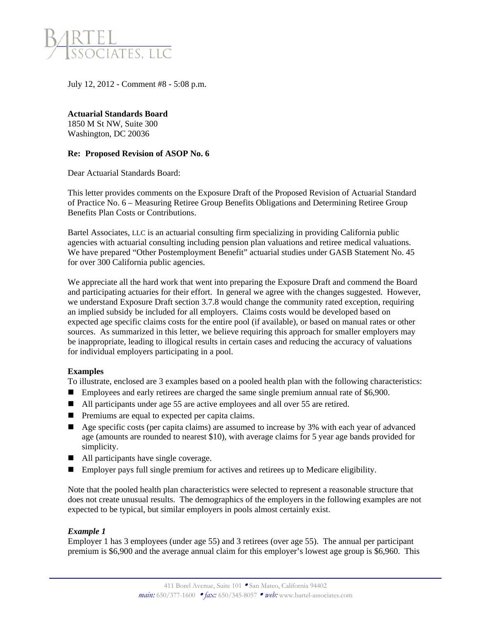

July 12, 2012 - Comment #8 - 5:08 p.m.

**Actuarial Standards Board**  1850 M St NW, Suite 300 Washington, DC 20036

#### **Re: Proposed Revision of ASOP No. 6**

Dear Actuarial Standards Board:

This letter provides comments on the Exposure Draft of the Proposed Revision of Actuarial Standard of Practice No. 6 – Measuring Retiree Group Benefits Obligations and Determining Retiree Group Benefits Plan Costs or Contributions.

Bartel Associates, LLC is an actuarial consulting firm specializing in providing California public agencies with actuarial consulting including pension plan valuations and retiree medical valuations. We have prepared "Other Postemployment Benefit" actuarial studies under GASB Statement No. 45 for over 300 California public agencies.

We appreciate all the hard work that went into preparing the Exposure Draft and commend the Board and participating actuaries for their effort. In general we agree with the changes suggested. However, we understand Exposure Draft section 3.7.8 would change the community rated exception, requiring an implied subsidy be included for all employers. Claims costs would be developed based on expected age specific claims costs for the entire pool (if available), or based on manual rates or other sources. As summarized in this letter, we believe requiring this approach for smaller employers may be inappropriate, leading to illogical results in certain cases and reducing the accuracy of valuations for individual employers participating in a pool.

#### **Examples**

To illustrate, enclosed are 3 examples based on a pooled health plan with the following characteristics:

- **Employees and early retirees are charged the same single premium annual rate of \$6,900.**
- All participants under age 55 are active employees and all over 55 are retired.
- **Premiums are equal to expected per capita claims.**
- Age specific costs (per capita claims) are assumed to increase by 3% with each year of advanced age (amounts are rounded to nearest \$10), with average claims for 5 year age bands provided for simplicity.
- All participants have single coverage.
- Employer pays full single premium for actives and retirees up to Medicare eligibility.

Note that the pooled health plan characteristics were selected to represent a reasonable structure that does not create unusual results. The demographics of the employers in the following examples are not expected to be typical, but similar employers in pools almost certainly exist.

#### *Example 1*

Employer 1 has 3 employees (under age 55) and 3 retirees (over age 55). The annual per participant premium is \$6,900 and the average annual claim for this employer's lowest age group is \$6,960. This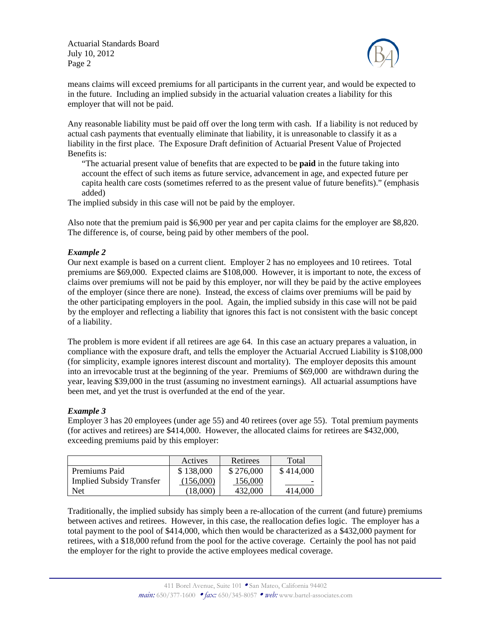Actuarial Standards Board July 10, 2012 Page 2



means claims will exceed premiums for all participants in the current year, and would be expected to in the future. Including an implied subsidy in the actuarial valuation creates a liability for this employer that will not be paid.

Any reasonable liability must be paid off over the long term with cash. If a liability is not reduced by actual cash payments that eventually eliminate that liability, it is unreasonable to classify it as a liability in the first place. The Exposure Draft definition of Actuarial Present Value of Projected Benefits is:

"The actuarial present value of benefits that are expected to be **paid** in the future taking into account the effect of such items as future service, advancement in age, and expected future per capita health care costs (sometimes referred to as the present value of future benefits)." (emphasis added)

The implied subsidy in this case will not be paid by the employer.

Also note that the premium paid is \$6,900 per year and per capita claims for the employer are \$8,820. The difference is, of course, being paid by other members of the pool.

### *Example 2*

Our next example is based on a current client. Employer 2 has no employees and 10 retirees. Total premiums are \$69,000. Expected claims are \$108,000. However, it is important to note, the excess of claims over premiums will not be paid by this employer, nor will they be paid by the active employees of the employer (since there are none). Instead, the excess of claims over premiums will be paid by the other participating employers in the pool. Again, the implied subsidy in this case will not be paid by the employer and reflecting a liability that ignores this fact is not consistent with the basic concept of a liability.

The problem is more evident if all retirees are age 64. In this case an actuary prepares a valuation, in compliance with the exposure draft, and tells the employer the Actuarial Accrued Liability is \$108,000 (for simplicity, example ignores interest discount and mortality). The employer deposits this amount into an irrevocable trust at the beginning of the year. Premiums of \$69,000 are withdrawn during the year, leaving \$39,000 in the trust (assuming no investment earnings). All actuarial assumptions have been met, and yet the trust is overfunded at the end of the year.

#### *Example 3*

Employer 3 has 20 employees (under age 55) and 40 retirees (over age 55). Total premium payments (for actives and retirees) are \$414,000. However, the allocated claims for retirees are \$432,000, exceeding premiums paid by this employer:

|                                 | Actives   | Retirees  | Total     |
|---------------------------------|-----------|-----------|-----------|
| Premiums Paid                   | \$138,000 | \$276,000 | \$414,000 |
| <b>Implied Subsidy Transfer</b> | (156,000) | 156,000   |           |
| Net                             | (18,000)  | 432,000   | 414,000   |

Traditionally, the implied subsidy has simply been a re-allocation of the current (and future) premiums between actives and retirees. However, in this case, the reallocation defies logic. The employer has a total payment to the pool of \$414,000, which then would be characterized as a \$432,000 payment for retirees, with a \$18,000 refund from the pool for the active coverage. Certainly the pool has not paid the employer for the right to provide the active employees medical coverage.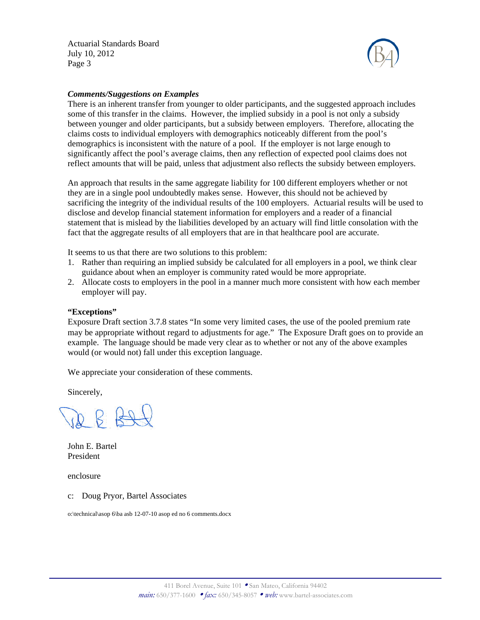Actuarial Standards Board July 10, 2012 Page 3



#### *Comments/Suggestions on Examples*

There is an inherent transfer from younger to older participants, and the suggested approach includes some of this transfer in the claims. However, the implied subsidy in a pool is not only a subsidy between younger and older participants, but a subsidy between employers. Therefore, allocating the claims costs to individual employers with demographics noticeably different from the pool's demographics is inconsistent with the nature of a pool. If the employer is not large enough to significantly affect the pool's average claims, then any reflection of expected pool claims does not reflect amounts that will be paid, unless that adjustment also reflects the subsidy between employers.

An approach that results in the same aggregate liability for 100 different employers whether or not they are in a single pool undoubtedly makes sense. However, this should not be achieved by sacrificing the integrity of the individual results of the 100 employers. Actuarial results will be used to disclose and develop financial statement information for employers and a reader of a financial statement that is mislead by the liabilities developed by an actuary will find little consolation with the fact that the aggregate results of all employers that are in that healthcare pool are accurate.

It seems to us that there are two solutions to this problem:

- 1. Rather than requiring an implied subsidy be calculated for all employers in a pool, we think clear guidance about when an employer is community rated would be more appropriate.
- 2. Allocate costs to employers in the pool in a manner much more consistent with how each member employer will pay.

#### **"Exceptions"**

Exposure Draft section 3.7.8 states "In some very limited cases, the use of the pooled premium rate may be appropriate without regard to adjustments for age." The Exposure Draft goes on to provide an example. The language should be made very clear as to whether or not any of the above examples would (or would not) fall under this exception language.

We appreciate your consideration of these comments.

Sincerely,

John E. Bartel President

enclosure

c: Doug Pryor, Bartel Associates

o:\technical\asop 6\ba asb 12-07-10 asop ed no 6 comments.docx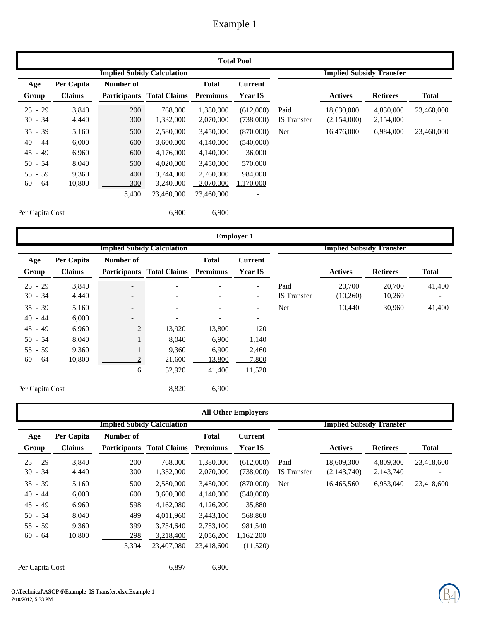## Example 1

|                 | <b>Total Pool</b> |           |                                   |                 |                |                                 |                |                 |              |  |  |  |  |
|-----------------|-------------------|-----------|-----------------------------------|-----------------|----------------|---------------------------------|----------------|-----------------|--------------|--|--|--|--|
|                 |                   |           | <b>Implied Subidy Calculation</b> |                 |                | <b>Implied Subsidy Transfer</b> |                |                 |              |  |  |  |  |
| Age             | Per Capita        | Number of |                                   | <b>Total</b>    | <b>Current</b> |                                 |                |                 |              |  |  |  |  |
| Group           | <b>Claims</b>     |           | <b>Participants</b> Total Claims  | <b>Premiums</b> | <b>Year IS</b> |                                 | <b>Actives</b> | <b>Retirees</b> | <b>Total</b> |  |  |  |  |
| $25 - 29$       | 3,840             | 200       | 768,000                           | 1,380,000       | (612,000)      | Paid                            | 18,630,000     | 4,830,000       | 23,460,000   |  |  |  |  |
| $30 - 34$       | 4,440             | 300       | 1,332,000                         | 2,070,000       | (738,000)      | <b>IS</b> Transfer              | (2,154,000)    | 2,154,000       |              |  |  |  |  |
| $35 - 39$       | 5,160             | 500       | 2,580,000                         | 3,450,000       | (870,000)      | <b>Net</b>                      | 16,476,000     | 6,984,000       | 23,460,000   |  |  |  |  |
| $40 - 44$       | 6,000             | 600       | 3,600,000                         | 4,140,000       | (540,000)      |                                 |                |                 |              |  |  |  |  |
| $45 - 49$       | 6,960             | 600       | 4,176,000                         | 4,140,000       | 36,000         |                                 |                |                 |              |  |  |  |  |
| $50 - 54$       | 8,040             | 500       | 4,020,000                         | 3,450,000       | 570,000        |                                 |                |                 |              |  |  |  |  |
| $55 - 59$       | 9,360             | 400       | 3,744,000                         | 2,760,000       | 984,000        |                                 |                |                 |              |  |  |  |  |
| $60 - 64$       | 10,800            | 300       | 3,240,000                         | 2,070,000       | 1,170,000      |                                 |                |                 |              |  |  |  |  |
|                 |                   | 3,400     | 23,460,000                        | 23,460,000      |                |                                 |                |                 |              |  |  |  |  |
| Per Capita Cost |                   |           | 6,900                             | 6,900           |                |                                 |                |                 |              |  |  |  |  |

|                 |               |                          |                                           |              | <b>Employer 1</b>        |                                 |                |                 |                          |
|-----------------|---------------|--------------------------|-------------------------------------------|--------------|--------------------------|---------------------------------|----------------|-----------------|--------------------------|
|                 |               |                          | <b>Implied Subidy Calculation</b>         |              |                          | <b>Implied Subsidy Transfer</b> |                |                 |                          |
| Age             | Per Capita    | Number of                |                                           | <b>Total</b> | <b>Current</b>           |                                 |                |                 |                          |
| Group           | <b>Claims</b> |                          | <b>Participants Total Claims Premiums</b> |              | <b>Year IS</b>           |                                 | <b>Actives</b> | <b>Retirees</b> | <b>Total</b>             |
| $25 - 29$       | 3,840         | $\overline{\phantom{0}}$ |                                           |              | $\overline{\phantom{a}}$ | Paid                            | 20,700         | 20,700          | 41,400                   |
| $30 - 34$       | 4,440         | $\overline{\phantom{0}}$ |                                           |              | $\overline{\phantom{a}}$ | IS Transfer                     | (10,260)       | 10,260          | $\overline{\phantom{0}}$ |
| $35 - 39$       | 5,160         | $\overline{\phantom{a}}$ |                                           |              | $\overline{\phantom{a}}$ | <b>Net</b>                      | 10,440         | 30,960          | 41,400                   |
| $40 - 44$       | 6,000         | $\overline{\phantom{0}}$ | $\overline{\phantom{a}}$                  | -            | $\overline{\phantom{a}}$ |                                 |                |                 |                          |
| $45 - 49$       | 6,960         | $\overline{2}$           | 13,920                                    | 13,800       | 120                      |                                 |                |                 |                          |
| $50 - 54$       | 8,040         |                          | 8,040                                     | 6,900        | 1,140                    |                                 |                |                 |                          |
| $55 - 59$       | 9,360         |                          | 9,360                                     | 6,900        | 2,460                    |                                 |                |                 |                          |
| $60 - 64$       | 10,800        | っ                        | 21,600                                    | 13,800       | 7,800                    |                                 |                |                 |                          |
|                 |               | 6                        | 52,920                                    | 41,400       | 11,520                   |                                 |                |                 |                          |
| Per Capita Cost |               |                          | 8,820                                     | 6,900        |                          |                                 |                |                 |                          |

|                 | <b>All Other Employers</b> |           |                                   |                 |                |                                 |                |                 |              |  |  |  |
|-----------------|----------------------------|-----------|-----------------------------------|-----------------|----------------|---------------------------------|----------------|-----------------|--------------|--|--|--|
|                 |                            |           | <b>Implied Subidy Calculation</b> |                 |                | <b>Implied Subsidy Transfer</b> |                |                 |              |  |  |  |
| Age             | Per Capita                 | Number of |                                   | <b>Total</b>    | <b>Current</b> |                                 |                |                 |              |  |  |  |
| Group           | <b>Claims</b>              |           | <b>Participants Total Claims</b>  | <b>Premiums</b> | <b>Year IS</b> |                                 | <b>Actives</b> | <b>Retirees</b> | <b>Total</b> |  |  |  |
| $25 - 29$       | 3,840                      | 200       | 768,000                           | 1.380,000       | (612,000)      | Paid                            | 18,609,300     | 4.809.300       | 23,418,600   |  |  |  |
| $30 - 34$       | 4,440                      | 300       | 1,332,000                         | 2,070,000       | (738,000)      | <b>IS</b> Transfer              | (2,143,740)    | 2,143,740       | -            |  |  |  |
| $35 - 39$       | 5,160                      | 500       | 2,580,000                         | 3,450,000       | (870,000)      | Net                             | 16,465,560     | 6,953,040       | 23,418,600   |  |  |  |
| $40 - 44$       | 6,000                      | 600       | 3,600,000                         | 4,140,000       | (540,000)      |                                 |                |                 |              |  |  |  |
| $45 - 49$       | 6,960                      | 598       | 4,162,080                         | 4,126,200       | 35,880         |                                 |                |                 |              |  |  |  |
| $50 - 54$       | 8,040                      | 499       | 4,011,960                         | 3,443,100       | 568,860        |                                 |                |                 |              |  |  |  |
| $55 - 59$       | 9,360                      | 399       | 3,734,640                         | 2,753,100       | 981,540        |                                 |                |                 |              |  |  |  |
| $60 - 64$       | 10,800                     | 298       | 3,218,400                         | 2,056,200       | 1,162,200      |                                 |                |                 |              |  |  |  |
|                 |                            | 3,394     | 23,407,080                        | 23,418,600      | (11,520)       |                                 |                |                 |              |  |  |  |
| Per Capita Cost |                            |           | 6,897                             | 6,900           |                |                                 |                |                 |              |  |  |  |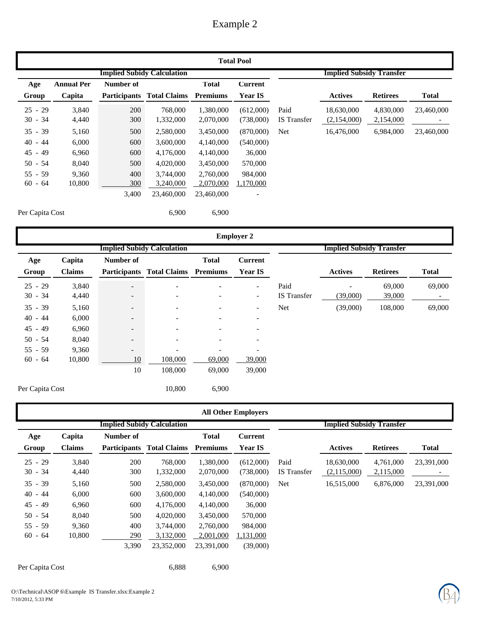## Example 2

|                 | <b>Total Pool</b> |           |                                   |                 |                |                                 |                |                 |              |  |  |  |  |
|-----------------|-------------------|-----------|-----------------------------------|-----------------|----------------|---------------------------------|----------------|-----------------|--------------|--|--|--|--|
|                 |                   |           | <b>Implied Subidy Calculation</b> |                 |                | <b>Implied Subsidy Transfer</b> |                |                 |              |  |  |  |  |
| Age             | <b>Annual Per</b> | Number of |                                   | <b>Total</b>    | <b>Current</b> |                                 |                |                 |              |  |  |  |  |
| Group           | Capita            |           | <b>Participants</b> Total Claims  | <b>Premiums</b> | <b>Year IS</b> |                                 | <b>Actives</b> | <b>Retirees</b> | <b>Total</b> |  |  |  |  |
| $25 - 29$       | 3,840             | 200       | 768,000                           | 1,380,000       | (612,000)      | Paid                            | 18,630,000     | 4,830,000       | 23,460,000   |  |  |  |  |
| $30 - 34$       | 4,440             | 300       | 1,332,000                         | 2,070,000       | (738,000)      | <b>IS</b> Transfer              | (2,154,000)    | 2,154,000       |              |  |  |  |  |
| $35 - 39$       | 5,160             | 500       | 2,580,000                         | 3,450,000       | (870,000)      | Net                             | 16,476,000     | 6,984,000       | 23,460,000   |  |  |  |  |
| $40 - 44$       | 6,000             | 600       | 3,600,000                         | 4,140,000       | (540,000)      |                                 |                |                 |              |  |  |  |  |
| $45 - 49$       | 6,960             | 600       | 4,176,000                         | 4,140,000       | 36,000         |                                 |                |                 |              |  |  |  |  |
| $50 - 54$       | 8,040             | 500       | 4,020,000                         | 3,450,000       | 570,000        |                                 |                |                 |              |  |  |  |  |
| $55 - 59$       | 9,360             | 400       | 3.744,000                         | 2,760,000       | 984,000        |                                 |                |                 |              |  |  |  |  |
| $60 - 64$       | 10,800            | 300       | 3,240,000                         | 2,070,000       | 1,170,000      |                                 |                |                 |              |  |  |  |  |
|                 |                   | 3,400     | 23,460,000                        | 23,460,000      |                |                                 |                |                 |              |  |  |  |  |
| Per Capita Cost |                   |           | 6,900                             | 6,900           |                |                                 |                |                 |              |  |  |  |  |

|           | <b>Employer 2</b> |                          |                                    |                          |                          |                                 |                |                 |              |  |  |  |  |
|-----------|-------------------|--------------------------|------------------------------------|--------------------------|--------------------------|---------------------------------|----------------|-----------------|--------------|--|--|--|--|
|           |                   |                          | <b>Implied Subidy Calculation</b>  |                          |                          | <b>Implied Subsidy Transfer</b> |                |                 |              |  |  |  |  |
| Age       | Capita            | Number of                |                                    | <b>Total</b>             | <b>Current</b>           |                                 |                |                 |              |  |  |  |  |
| Group     | Claims            |                          | Participants Total Claims Premiums |                          | <b>Year IS</b>           |                                 | <b>Actives</b> | <b>Retirees</b> | <b>Total</b> |  |  |  |  |
| $25 - 29$ | 3,840             | $\overline{\phantom{a}}$ | $\overline{\phantom{a}}$           | $\overline{\phantom{0}}$ | $\overline{\phantom{a}}$ | Paid                            |                | 69,000          | 69,000       |  |  |  |  |
| $30 - 34$ | 4,440             | $\overline{\phantom{a}}$ | $\overline{\phantom{a}}$           | $\overline{\phantom{0}}$ | $\overline{\phantom{a}}$ | <b>IS</b> Transfer              | (39,000)       | 39,000          | $\sim$       |  |  |  |  |
| $35 - 39$ | 5,160             | $\overline{\phantom{a}}$ | $\overline{\phantom{a}}$           | $\overline{\phantom{0}}$ | $\overline{\phantom{a}}$ | <b>Net</b>                      | (39,000)       | 108,000         | 69,000       |  |  |  |  |
| $40 - 44$ | 6,000             | $\overline{\phantom{0}}$ | $\overline{\phantom{a}}$           | $\overline{\phantom{0}}$ | $\overline{\phantom{a}}$ |                                 |                |                 |              |  |  |  |  |
| $45 - 49$ | 6,960             | $\overline{\phantom{a}}$ | $\overline{\phantom{a}}$           | ۰                        | $\overline{\phantom{a}}$ |                                 |                |                 |              |  |  |  |  |
| $50 - 54$ | 8,040             | $-$                      | $\overline{\phantom{a}}$           | $\overline{\phantom{0}}$ | $\overline{\phantom{a}}$ |                                 |                |                 |              |  |  |  |  |
| $55 - 59$ | 9,360             | $-$                      | $\overline{\phantom{a}}$           | $\overline{\phantom{a}}$ | $\blacksquare$           |                                 |                |                 |              |  |  |  |  |
| $60 - 64$ | 10,800            | 10                       | 108,000                            | 69,000                   | 39,000                   |                                 |                |                 |              |  |  |  |  |
|           |                   | 10                       | 108,000                            | 69,000                   | 39,000                   |                                 |                |                 |              |  |  |  |  |
|           |                   |                          |                                    |                          |                          |                                 |                |                 |              |  |  |  |  |

**All Other Employers Implied Subidy Calculation Implied Subsidy Transfer Age Group Capita Claims Number of Participants Total Claims Total Premiums Current Year IS Actives Retirees Total** 25 - 29 3,840 200 768,000 1,380,000 (612,000) Paid 18,630,000 4,761,000 23,391,000 30 - 34 4,440 300 1,332,000 2,070,000 (738,000) IS Transfer (2,115,000) - 2,115,000 35 - 39 5,160 500 2,580,000 3,450,000 (870,000) Net 16,515,000 6,876,000 23,391,000 40 - 44 6,000 600 3,600,000 4,140,000 (540,000) 45 - 49 6,960 600 4,176,000 4,140,000 36,000 50 - 54 8,040 500 4,020,000 3,450,000 570,000 55 - 59 9,360 400 3,744,000 2,760,000 984,000 60 - 64 10,800 290 3,132,000 2,001,000 1,131,000 23,352,000 3,390 23,391,000 (39,000) Per Capita Cost 6,900

O:\Technical\ASOP 6\Example IS Transfer.xlsx:Example 2 7/10/2012, 5:33 PM

Per Capita Cost 10,800 6,900